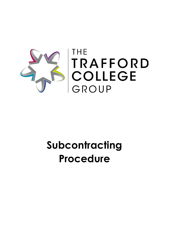

# **Subcontracting Procedure**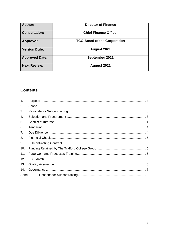| <b>Author:</b>        | <b>Director of Finance</b>          |
|-----------------------|-------------------------------------|
| <b>Consultation:</b>  | <b>Chief Finance Officer</b>        |
| Approval:             | <b>TCG Board of the Corporation</b> |
| <b>Version Date:</b>  | August 2021                         |
| <b>Approved Date:</b> | September 2021                      |
| <b>Next Review:</b>   | August 2022                         |

# **Contents**

| 1.  |  |  |  |
|-----|--|--|--|
| 2.  |  |  |  |
| 3.  |  |  |  |
| 4.  |  |  |  |
| 5.  |  |  |  |
| 6.  |  |  |  |
| 7.  |  |  |  |
| 8.  |  |  |  |
| 9.  |  |  |  |
| 10. |  |  |  |
| 11. |  |  |  |
| 12. |  |  |  |
| 13. |  |  |  |
| 14. |  |  |  |
|     |  |  |  |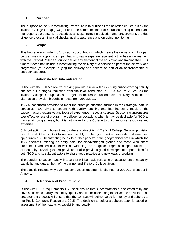# <span id="page-2-0"></span>**1. Purpose**

The purpose of the Subcontracting Procedure is to outline all the activities carried out by the Trafford College Group (TCG) prior to the commencement of a subcontracting contract and the responsible persons. It describes all steps including selection and procurement, the due diligence process, financial checks, quality assurance and on-going monitoring.

#### <span id="page-2-1"></span>**2. Scope**

This Procedure is limited to 'provision subcontracting' which means the delivery of full or part programmes or apprenticeships, that is to say a separate legal entity that has an agreement with the Trafford College Group to deliver any element of the education and training the ESFA funds; it does not include subcontracting the delivery of a service as part of the delivery of a programme (for example, buying the delivery of a service as part of an apprenticeship or outreach support).

### <span id="page-2-2"></span>**3. Rationale for Subcontracting**

In line with the ESFA directive seeking providers review their existing subcontracting activity and set out a staged reduction from the level conducted in 2019/2020 to 2022/2023 the Trafford College Group has set targets to decrease subcontracted delivery, with this or alternative provision brought in house from 2020/2021.

TCG subcontracts provision to meet the strategic priorities outlined in the Strategic Plan. In particular, TCG aims to ensure high quality teaching and learning as a result of the subcontractors' extensive and focused experience in specialist areas. Subcontracting ensures cost effectiveness of programme delivery on occasions when it may be desirable for TCG to run certain programmes, but it is not viable for the College to build in-house resources and expertise.

Subcontracting contributes towards the sustainability of Trafford College Group's provision overall, and it helps TCG to respond flexibly to changing market demands and emergent opportunities. Subcontracting helps to further penetrate the geographical area in which the TCG operates, offering an entry point for disadvantaged groups and those who share protected characteristics, as well as widening the range or progression opportunities for students, by providing expert provision. It also provides good development opportunities for both TCG and its subcontractors to share good practice and new ways of working.

The decision to subcontract with a partner will be made reflecting on assessment of capacity, capability and quality, both of the partner and Trafford College Group.

The specific reasons why each subcontract arrangement is planned for 2021/22 is set out in Annex 1.

#### <span id="page-2-3"></span>**4. Selection and Procurement**

In line with ESFA requirements TCG shall ensure that subcontractors are selected fairly and have sufficient capacity, capability, quality and financial standing to deliver the provision. The procurement process will ensure that the contract will deliver value for money and adheres to the Public Contracts Regulations 2015. The decision to select a subcontractor is based on assessment of their capacity, capability and quality.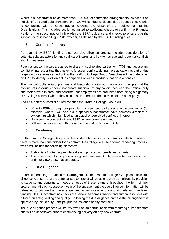Where a subcontractor holds more than £100,000 of contracted arrangements, as set out on the List of Declared Subcontractors, the TCG will conduct additional due diligence checks prior to contracting with a Subcontractor following the close of the Register of Training Organisations. This includes but is not limited to additional checks to confirm the Financial Health of the subcontractor in line with the ESFA guidance and checks to ensure that the subcontractor is not a High-Risk Provider, as defined by the ESFA funding rules.

# <span id="page-3-0"></span>**5. Conflict of Interest**

As required by ESFA funding rules, our due diligence process includes consideration of potential subcontractors for any conflicts of interest and how to manage such potential conflicts should they arise.

Potential subcontractors are asked to share a list of related parties with TCG and declare any conflict of interest or that they have no foreseen conflicts during the application as part of due diligence procedures carried out by the Trafford College Group. Searches will be undertaken by TCG to identify involvement in companies or with individuals that pose a conflict.

The Trafford College Group's Financial Regulations sets out the guiding principle that the conduct of individuals should not create suspicion of any conflict between their official duty and their private interest and confirms that employees are prohibited from being a signatory to a College contract where they also has an interest in the activities of the other party.

Should a potential conflict of interest arise the Trafford College Group will:

- Write to ESFA through our provider-management lead about any circumstances (for example, where TCG and our proposed subcontractor have common directors or ownership) which might lead to an actual or perceived conflict of interest
- Not issue the contract without ESFA written permission, and
- Will keep as evidence both our request to and reply from ESFA.

# <span id="page-3-1"></span>**6. Tendering**

So that Trafford College Group can demonstrate fairness in subcontractor selection, where there is more than one bidder for a contract, the College will use a formal tendering process which will include the following elements:

- A shortlist of potential providers drawn up based on pre-defined criteria
- The requirement to complete scoring and assessment outcomes at tender assessment and interview/ presentation stages.

#### <span id="page-3-2"></span>**7. Due Diligence**

Before undertaking a subcontract arrangement, the Trafford College Group conducts due diligence to ensure that the potential subcontractor will be able to provide high quality provision to students and continue to meet the needs of these learners throughout the term of their programme. At each subsequent year of the engagement the due diligence information will be refreshed to confirm that the arrangement remains satisfactory and accords with the latest funding rules. Subcontracting checks are performed across finance and human resources with a focus on safeguarding and quality. Following the due diligence process the arrangement is approved by the Deputy Principal prior to issuance of any contracts.

The due diligence process will be reviewed on an annual basis with recurring subcontractors and will be undertaken prior to commencing delivery on any new contract.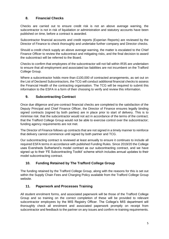# <span id="page-4-0"></span>**8. Financial Checks**

Checks are carried out to ensure credit risk is not an above average warning, the subcontractor is not in risk of liquidation or administration and statutory accounts have been published on time, before a contract is awarded.

Subcontractor financial accounts and credit reports (Experian Reports) are reviewed by the Director of Finance to check thoroughly and undertake further company and Director checks.

Should a credit check supply an above average warning, the matter is escalated to the Chief Finance Officer to review the subcontract and mitigating risks, and the final decision to award the subcontract will be referred to the Board.

Checks to confirm that employees of the subcontractor will not fall within IR35 are undertaken to ensure that all employment and associated tax liabilities are not incumbent on the Trafford College Group.

Where a subcontractor holds more than £100,000 of contracted arrangements, as set out on the List of Declared Subcontractors, the TCG will conduct additional financial checks to assess the Financial Health of the contracting organisation. The TCG will be required to submit this information to the ESFA in a form of their choosing to verify and review this information.

### <span id="page-4-1"></span>**9. Subcontracting Contract**

Once due diligence and pre-contract financial checks are completed to the satisfaction of the Deputy Principal and Chief Finance Officer, the Director of Finance ensures legally binding signed contracts (signed by both parties) are in place prior to start of delivery. This is to minimise risk: that the subcontractor would not act in accordance of the terms of the contract; that the Trafford College Group would not be able to exercise control over the subcontractor; funding agency requirements are not met.

The Director of Finance follows up contracts that are not signed in a timely manner to reinforce that delivery cannot commence until signed by both partner and TCG.

Our subcontracting contract is reviewed at least annually to ensure it continues to include all required ESFA terms in accordance with published Funding Rules. Since 2019/20 the College uses Eversheds Sutherland's model contract as our subcontracting contract, and we have signed up to their 'FE Subcontracting Toolkit' scheme which includes annual updates to their model subcontracting contract.

# <span id="page-4-2"></span>**10. Funding Retained by The Trafford College Group**

The funding retained by the Trafford College Group, along with the reasons for this is set out within the Supply Chain Fees and Charging Policy available from the Trafford College Group website.

# <span id="page-4-3"></span>**11. Paperwork and Processes Training**

All student enrolment forms, and associated paperwork will be those of the Trafford College Group and so training on the correct completion of these will be provided to relevant subcontractor employees by the MIS Registry Officer. The College's MIS department will thoroughly check all enrolment and associated paperwork promptly on receipt from subcontractor and feedback to the partner on any issues and confirm re-training requirements.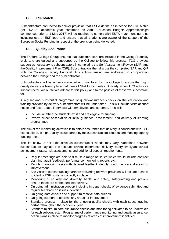### <span id="page-5-0"></span>**12. ESF Match**

Subcontractors contracted to deliver provision that ESFA define as in scope for ESF Match (for 2020/21 academic year confirmed as Adult Education Budget; Apprenticeships commenced prior to 1 May 2017) will be required to comply with ESFA match funding rules including use of ESF logo and ensure that all students are aware of the support of the European Social Funding in respect of the provision being delivered.

#### <span id="page-5-1"></span>**13. Quality Assurance**

The Trafford College Group ensures that subcontractors are included in the College's quality cycle and are guided and supported by the College to follow this process. TCG provides support as necessary to subcontractors in completing the Self-Assessment Review (SAR) and the Quality Improvement Plan (QiP). Subcontractors then discuss the completed SAR and QiP with the College's Deputy Principal. Any actions arising are addressed in co-operation between the College and the subcontractor.

Subcontractors will be actively managed and monitored by the College to ensure that highquality delivery is taking place that meets ESFA funding rules. Similarly, when TCG acts as a subcontractor, we ourselves adhere to this policy and to the policies of those we subcontract for.

A regular and substantial programme of quality-assurance checks on the education and training provided by delivery subcontractors will be undertaken. This will include visits at short notice and face-to-face interviews with employees and students. This will:

- Include whether the students exist and are eligible for funding
- Involve direct observation of initial guidance, assessment, and delivery of learning programmes

The aim of the monitoring activities is to obtain assurance that delivery is consistent with TCG expectations, is high-quality, is supported by the subcontractors' records and meeting agency funding rules.

The list below is not exhaustive as subcontractor needs may vary. Variations between subcontractors may take into account previous experience, delivery history, timely and overall achievement rates, risk assessments and additional support requirements.

- Regular meetings are held to discuss a range of issues which would include contract planning, audit feedback, performance monitoring reports etc.
- Regular monitoring visits with detailed feedback identify good practice and areas for improvement.
- Site visits to subcontracting partners delivering relevant provision will include a check to identity ESF poster is correctly in place
- Monitoring of equality and diversity, health and safety, safeguarding and prevent ensure these are embedded into delivery.
- On-going administration support including in-depth checks of evidence submitted and regular feedback on issues identified
- On-going data checks and support to resolve data queries
- On-going support to address any areas for improvement
- Standard process in place for the ongoing quality checks with each subcontracting partner throughout the academic year.
- Standard minimum core assurance checks and monitoring activated to be undertaken for each subcontractor. Programme of performance monitoring and quality assurance; action plans in place to monitor progress of areas of improvement identified.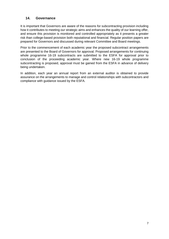#### <span id="page-6-0"></span>**14. Governance**

It is important that Governors are aware of the reasons for subcontracting provision including how it contributes to meeting our strategic aims and enhances the quality of our learning offer, and ensure this provision is monitored and controlled appropriately as it presents a greater risk than college-based provision both reputational and financial. Regular position papers are prepared for Governors and discussed during relevant Committee and Board meetings.

Prior to the commencement of each academic year the proposed subcontract arrangements are presented to the Board of Governors for approval. Proposed arrangements for continuing whole programme 16-19 subcontracts are submitted to the ESFA for approval prior to conclusion of the proceeding academic year. Where new 16-19 whole programme subcontracting is proposed, approval must be gained from the ESFA in advance of delivery being undertaken.

In addition, each year an annual report from an external auditor is obtained to provide assurance on the arrangements to manage and control relationships with subcontractors and compliance with guidance issued by the ESFA.